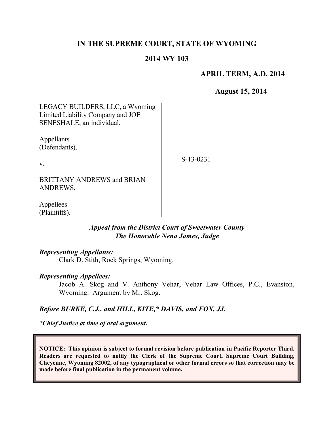## **IN THE SUPREME COURT, STATE OF WYOMING**

#### **2014 WY 103**

### **APRIL TERM, A.D. 2014**

**August 15, 2014**

LEGACY BUILDERS, LLC, a Wyoming Limited Liability Company and JOE SENESHALE, an individual,

Appellants (Defendants),

v.

S-13-0231

BRITTANY ANDREWS and BRIAN ANDREWS,

Appellees (Plaintiffs).

## *Appeal from the District Court of Sweetwater County The Honorable Nena James, Judge*

#### *Representing Appellants:*

Clark D. Stith, Rock Springs, Wyoming.

#### *Representing Appellees:*

Jacob A. Skog and V. Anthony Vehar, Vehar Law Offices, P.C., Evanston, Wyoming. Argument by Mr. Skog.

#### *Before BURKE, C.J., and HILL, KITE,\* DAVIS, and FOX, JJ.*

*\*Chief Justice at time of oral argument.*

**NOTICE: This opinion is subject to formal revision before publication in Pacific Reporter Third. Readers are requested to notify the Clerk of the Supreme Court, Supreme Court Building, Cheyenne, Wyoming 82002, of any typographical or other formal errors so that correction may be made before final publication in the permanent volume.**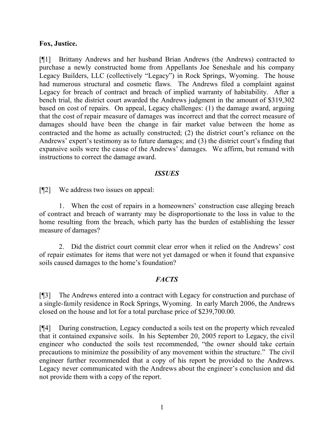### **Fox, Justice.**

[¶1] Brittany Andrews and her husband Brian Andrews (the Andrews) contracted to purchase a newly constructed home from Appellants Joe Seneshale and his company Legacy Builders, LLC (collectively "Legacy") in Rock Springs, Wyoming. The house had numerous structural and cosmetic flaws. The Andrews filed a complaint against Legacy for breach of contract and breach of implied warranty of habitability. After a bench trial, the district court awarded the Andrews judgment in the amount of \$319,302 based on cost of repairs. On appeal, Legacy challenges: (1) the damage award, arguing that the cost of repair measure of damages was incorrect and that the correct measure of damages should have been the change in fair market value between the home as contracted and the home as actually constructed; (2) the district court's reliance on the Andrews' expert's testimony as to future damages; and (3) the district court's finding that expansive soils were the cause of the Andrews' damages. We affirm, but remand with instructions to correct the damage award.

### *ISSUES*

[¶2] We address two issues on appeal:

1. When the cost of repairs in a homeowners' construction case alleging breach of contract and breach of warranty may be disproportionate to the loss in value to the home resulting from the breach, which party has the burden of establishing the lesser measure of damages?

2. Did the district court commit clear error when it relied on the Andrews' cost of repair estimates for items that were not yet damaged or when it found that expansive soils caused damages to the home's foundation?

## *FACTS*

[¶3] The Andrews entered into a contract with Legacy for construction and purchase of a single-family residence in Rock Springs, Wyoming. In early March 2006, the Andrews closed on the house and lot for a total purchase price of \$239,700.00.

[¶4] During construction, Legacy conducted a soils test on the property which revealed that it contained expansive soils. In his September 20, 2005 report to Legacy, the civil engineer who conducted the soils test recommended, "the owner should take certain precautions to minimize the possibility of any movement within the structure." The civil engineer further recommended that a copy of his report be provided to the Andrews. Legacy never communicated with the Andrews about the engineer's conclusion and did not provide them with a copy of the report.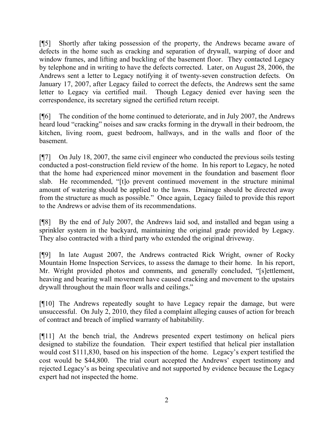[¶5] Shortly after taking possession of the property, the Andrews became aware of defects in the home such as cracking and separation of drywall, warping of door and window frames, and lifting and buckling of the basement floor. They contacted Legacy by telephone and in writing to have the defects corrected. Later, on August 28, 2006, the Andrews sent a letter to Legacy notifying it of twenty-seven construction defects. On January 17, 2007, after Legacy failed to correct the defects, the Andrews sent the same letter to Legacy via certified mail. Though Legacy denied ever having seen the correspondence, its secretary signed the certified return receipt.

[¶6] The condition of the home continued to deteriorate, and in July 2007, the Andrews heard loud "cracking" noises and saw cracks forming in the drywall in their bedroom, the kitchen, living room, guest bedroom, hallways, and in the walls and floor of the basement.

[¶7] On July 18, 2007, the same civil engineer who conducted the previous soils testing conducted a post-construction field review of the home. In his report to Legacy, he noted that the home had experienced minor movement in the foundation and basement floor slab. He recommended, "[t]o prevent continued movement in the structure minimal amount of watering should be applied to the lawns. Drainage should be directed away from the structure as much as possible." Once again, Legacy failed to provide this report to the Andrews or advise them of its recommendations.

[¶8] By the end of July 2007, the Andrews laid sod, and installed and began using a sprinkler system in the backyard, maintaining the original grade provided by Legacy. They also contracted with a third party who extended the original driveway.

[¶9] In late August 2007, the Andrews contracted Rick Wright, owner of Rocky Mountain Home Inspection Services, to assess the damage to their home. In his report, Mr. Wright provided photos and comments, and generally concluded, "[s]ettlement, heaving and bearing wall movement have caused cracking and movement to the upstairs drywall throughout the main floor walls and ceilings."

[¶10] The Andrews repeatedly sought to have Legacy repair the damage, but were unsuccessful. On July 2, 2010, they filed a complaint alleging causes of action for breach of contract and breach of implied warranty of habitability.

[¶11] At the bench trial, the Andrews presented expert testimony on helical piers designed to stabilize the foundation. Their expert testified that helical pier installation would cost \$111,830, based on his inspection of the home. Legacy's expert testified the cost would be \$44,800. The trial court accepted the Andrews' expert testimony and rejected Legacy's as being speculative and not supported by evidence because the Legacy expert had not inspected the home.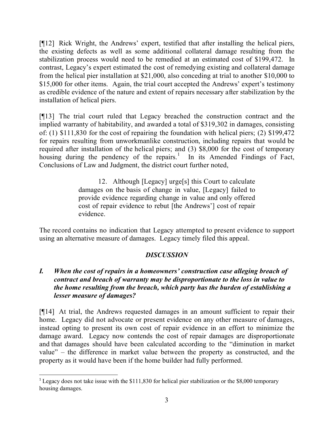[¶12] Rick Wright, the Andrews' expert, testified that after installing the helical piers, the existing defects as well as some additional collateral damage resulting from the stabilization process would need to be remedied at an estimated cost of \$199,472. In contrast, Legacy's expert estimated the cost of remedying existing and collateral damage from the helical pier installation at \$21,000, also conceding at trial to another \$10,000 to \$15,000 for other items. Again, the trial court accepted the Andrews' expert's testimony as credible evidence of the nature and extent of repairs necessary after stabilization by the installation of helical piers.

[¶13] The trial court ruled that Legacy breached the construction contract and the implied warranty of habitability, and awarded a total of \$319,302 in damages, consisting of: (1) \$111,830 for the cost of repairing the foundation with helical piers; (2) \$199,472 for repairs resulting from unworkmanlike construction, including repairs that would be required after installation of the helical piers; and (3) \$8,000 for the cost of temporary housing during the pendency of the repairs.<sup>1</sup> In its Amended Findings of Fact, Conclusions of Law and Judgment, the district court further noted,

> 12. Although [Legacy] urge[s] this Court to calculate damages on the basis of change in value, [Legacy] failed to provide evidence regarding change in value and only offered cost of repair evidence to rebut [the Andrews'] cost of repair evidence.

The record contains no indication that Legacy attempted to present evidence to support using an alternative measure of damages. Legacy timely filed this appeal.

# *DISCUSSION*

## *I. When the cost of repairs in a homeowners' construction case alleging breach of contract and breach of warranty may be disproportionate to the loss in value to the home resulting from the breach, which party has the burden of establishing a lesser measure of damages?*

[¶14] At trial, the Andrews requested damages in an amount sufficient to repair their home. Legacy did not advocate or present evidence on any other measure of damages, instead opting to present its own cost of repair evidence in an effort to minimize the damage award. Legacy now contends the cost of repair damages are disproportionate and that damages should have been calculated according to the "diminution in market value" – the difference in market value between the property as constructed, and the property as it would have been if the home builder had fully performed.

 $\overline{a}$ 

<sup>&</sup>lt;sup>1</sup> Legacy does not take issue with the \$111,830 for helical pier stabilization or the \$8,000 temporary housing damages.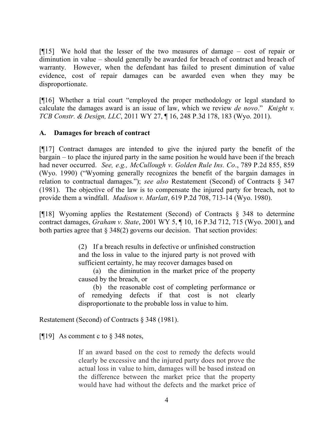[¶15] We hold that the lesser of the two measures of damage – cost of repair or diminution in value – should generally be awarded for breach of contract and breach of warranty. However, when the defendant has failed to present diminution of value evidence, cost of repair damages can be awarded even when they may be disproportionate.

[¶16] Whether a trial court "employed the proper methodology or legal standard to calculate the damages award is an issue of law, which we review *de novo*." *Knight v. TCB Constr. & Design, LLC*, 2011 WY 27, ¶ 16, 248 P.3d 178, 183 (Wyo. 2011).

## **A. Damages for breach of contract**

[¶17] Contract damages are intended to give the injured party the benefit of the bargain – to place the injured party in the same position he would have been if the breach had never occurred. *See, e.g., McCullough v. Golden Rule Ins. Co*., 789 P.2d 855, 859 (Wyo. 1990) ("Wyoming generally recognizes the benefit of the bargain damages in relation to contractual damages."); *see also* Restatement (Second) of Contracts § 347 (1981). The objective of the law is to compensate the injured party for breach, not to provide them a windfall. *Madison v. Marlatt*, 619 P.2d 708, 713-14 (Wyo. 1980).

[¶18] Wyoming applies the Restatement (Second) of Contracts § 348 to determine contract damages, *Graham v. State*, 2001 WY 5, ¶ 10, 16 P.3d 712, 715 (Wyo. 2001), and both parties agree that  $\S 348(2)$  governs our decision. That section provides:

> (2) If a breach results in defective or unfinished construction and the loss in value to the injured party is not proved with sufficient certainty, he may recover damages based on

> (a) the diminution in the market price of the property caused by the breach, or

> (b) the reasonable cost of completing performance or of remedying defects if that cost is not clearly disproportionate to the probable loss in value to him.

Restatement (Second) of Contracts § 348 (1981).

[ $[19]$  As comment c to § 348 notes,

If an award based on the cost to remedy the defects would clearly be excessive and the injured party does not prove the actual loss in value to him, damages will be based instead on the difference between the market price that the property would have had without the defects and the market price of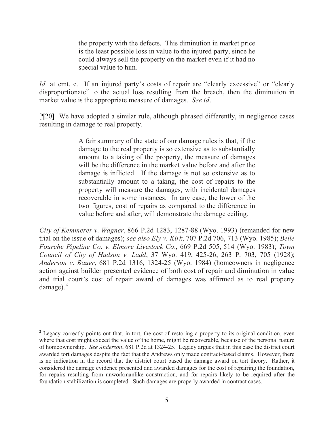the property with the defects. This diminution in market price is the least possible loss in value to the injured party, since he could always sell the property on the market even if it had no special value to him.

*Id.* at cmt. c. If an injured party's costs of repair are "clearly excessive" or "clearly disproportionate" to the actual loss resulting from the breach, then the diminution in market value is the appropriate measure of damages. *See id*.

[¶20] We have adopted a similar rule, although phrased differently, in negligence cases resulting in damage to real property.

> A fair summary of the state of our damage rules is that, if the damage to the real property is so extensive as to substantially amount to a taking of the property, the measure of damages will be the difference in the market value before and after the damage is inflicted. If the damage is not so extensive as to substantially amount to a taking, the cost of repairs to the property will measure the damages, with incidental damages recoverable in some instances. In any case, the lower of the two figures, cost of repairs as compared to the difference in value before and after, will demonstrate the damage ceiling.

*City of Kemmerer v. Wagner*, 866 P.2d 1283, 1287-88 (Wyo. 1993) (remanded for new trial on the issue of damages); *see also Ely v. Kirk*, 707 P.2d 706, 713 (Wyo. 1985); *Belle Fourche Pipeline Co. v. Elmore Livestock Co*., 669 P.2d 505, 514 (Wyo. 1983); *Town Council of City of Hudson v. Ladd*, 37 Wyo. 419, 425-26, 263 P. 703, 705 (1928); *Anderson v. Bauer*, 681 P.2d 1316, 1324-25 (Wyo. 1984) (homeowners in negligence action against builder presented evidence of both cost of repair and diminution in value and trial court's cost of repair award of damages was affirmed as to real property damage). $^{2}$ 

 $\overline{a}$ 

<sup>&</sup>lt;sup>2</sup> Legacy correctly points out that, in tort, the cost of restoring a property to its original condition, even where that cost might exceed the value of the home, might be recoverable, because of the personal nature of homeownership. *See Anderson*, 681 P.2d at 1324-25. Legacy argues that in this case the district court awarded tort damages despite the fact that the Andrews only made contract-based claims. However, there is no indication in the record that the district court based the damage award on tort theory. Rather, it considered the damage evidence presented and awarded damages for the cost of repairing the foundation, for repairs resulting from unworkmanlike construction, and for repairs likely to be required after the foundation stabilization is completed. Such damages are properly awarded in contract cases.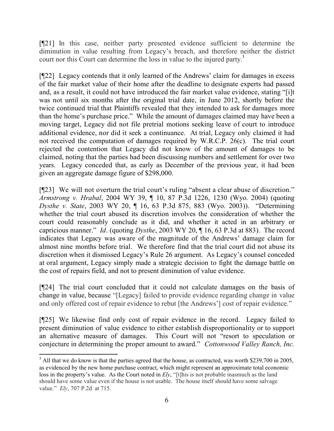[¶21] In this case, neither party presented evidence sufficient to determine the diminution in value resulting from Legacy's breach, and therefore neither the district court nor this Court can determine the loss in value to the injured party.<sup>3</sup>

[¶22] Legacy contends that it only learned of the Andrews' claim for damages in excess of the fair market value of their home after the deadline to designate experts had passed and, as a result, it could not have introduced the fair market value evidence, stating "[i]t was not until six months after the original trial date, in June 2012, shortly before the twice continued trial that Plaintiffs revealed that they intended to ask for damages more than the home's purchase price." While the amount of damages claimed may have been a moving target, Legacy did not file pretrial motions seeking leave of court to introduce additional evidence, nor did it seek a continuance. At trial, Legacy only claimed it had not received the computation of damages required by W.R.C.P. 26(c). The trial court rejected the contention that Legacy did not know of the amount of damages to be claimed, noting that the parties had been discussing numbers and settlement for over two years. Legacy conceded that, as early as December of the previous year, it had been given an aggregate damage figure of \$298,000.

[¶23] We will not overturn the trial court's ruling "absent a clear abuse of discretion." *Armstrong v. Hrabal*, 2004 WY 39, ¶ 10, 87 P.3d 1226, 1230 (Wyo. 2004) (quoting *Dysthe v. State*, 2003 WY 20, ¶ 16, 63 P.3d 875, 883 (Wyo. 2003)). "Determining whether the trial court abused its discretion involves the consideration of whether the court could reasonably conclude as it did, and whether it acted in an arbitrary or capricious manner." *Id*. (quoting *Dysthe*, 2003 WY 20, ¶ 16, 63 P.3d at 883). The record indicates that Legacy was aware of the magnitude of the Andrews' damage claim for almost nine months before trial. We therefore find that the trial court did not abuse its discretion when it dismissed Legacy's Rule 26 argument. As Legacy's counsel conceded at oral argument, Legacy simply made a strategic decision to fight the damage battle on the cost of repairs field, and not to present diminution of value evidence.

[¶24] The trial court concluded that it could not calculate damages on the basis of change in value, because "[Legacy] failed to provide evidence regarding change in value and only offered cost of repair evidence to rebut [the Andrews'] cost of repair evidence."

[¶25] We likewise find only cost of repair evidence in the record. Legacy failed to present diminution of value evidence to either establish disproportionality or to support an alternative measure of damages. This Court will not "resort to speculation or conjecture in determining the proper amount to award." *Cottonwood Valley Ranch, Inc.* 

 $\overline{a}$ 

 $3$  All that we do know is that the parties agreed that the house, as contracted, was worth \$239,700 in 2005, as evidenced by the new home purchase contract, which might represent an approximate total economic loss in the property's value. As the Court noted in *Ely*, "[t]his is not probable inasmuch as the land should have some value even if the house is not usable. The house itself should have some salvage value." *Ely*, 707 P.2d at 715.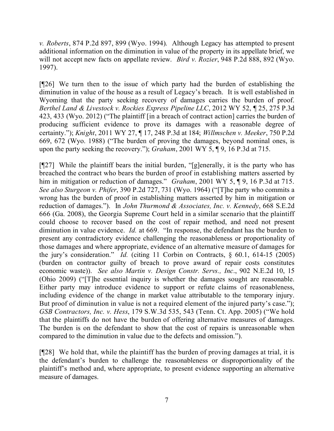*v. Roberts*, 874 P.2d 897, 899 (Wyo. 1994). Although Legacy has attempted to present additional information on the diminution in value of the property in its appellate brief, we will not accept new facts on appellate review. *Bird v. Rozier*, 948 P.2d 888, 892 (Wyo. 1997).

[¶26] We turn then to the issue of which party had the burden of establishing the diminution in value of the house as a result of Legacy's breach. It is well established in Wyoming that the party seeking recovery of damages carries the burden of proof. *Berthel Land & Livestock v. Rockies Express Pipeline LLC*, 2012 WY 52, ¶ 25, 275 P.3d 423, 433 (Wyo. 2012) ("The plaintiff [in a breach of contract action] carries the burden of producing sufficient evidence to prove its damages with a reasonable degree of certainty."); *Knight*, 2011 WY 27, ¶ 17, 248 P.3d at 184; *Willmschen v. Meeker*, 750 P.2d 669, 672 (Wyo. 1988) ("The burden of proving the damages, beyond nominal ones, is upon the party seeking the recovery."); *Graham*, 2001 WY 5, ¶ 9, 16 P.3d at 715.

[¶27] While the plaintiff bears the initial burden, "[g]enerally, it is the party who has breached the contract who bears the burden of proof in establishing matters asserted by him in mitigation or reduction of damages." *Graham*, 2001 WY 5, ¶ 9, 16 P.3d at 715. *See also Sturgeon v. Phifer*, 390 P.2d 727, 731 (Wyo. 1964) ("[T]he party who commits a wrong has the burden of proof in establishing matters asserted by him in mitigation or reduction of damages."). In *John Thurmond & Associates, Inc. v. Kennedy*, 668 S.E.2d 666 (Ga. 2008), the Georgia Supreme Court held in a similar scenario that the plaintiff could choose to recover based on the cost of repair method, and need not present diminution in value evidence. *Id.* at 669. "In response, the defendant has the burden to present any contradictory evidence challenging the reasonableness or proportionality of those damages and where appropriate, evidence of an alternative measure of damages for the jury's consideration." *Id.* (citing 11 Corbin on Contracts, § 60.1, 614-15 (2005) (burden on contractor guilty of breach to prove award of repair costs constitutes economic waste)). *See also Martin v. Design Constr. Servs., Inc*., 902 N.E.2d 10, 15 (Ohio 2009) ("[T]he essential inquiry is whether the damages sought are reasonable. Either party may introduce evidence to support or refute claims of reasonableness, including evidence of the change in market value attributable to the temporary injury. But proof of diminution in value is not a required element of the injured party's case."); *GSB Contractors, Inc. v. Hess*, 179 S.W.3d 535, 543 (Tenn. Ct. App. 2005) ("We hold that the plaintiffs do not have the burden of offering alternative measures of damages. The burden is on the defendant to show that the cost of repairs is unreasonable when compared to the diminution in value due to the defects and omission.").

[¶28] We hold that, while the plaintiff has the burden of proving damages at trial, it is the defendant's burden to challenge the reasonableness or disproportionality of the plaintiff's method and, where appropriate, to present evidence supporting an alternative measure of damages.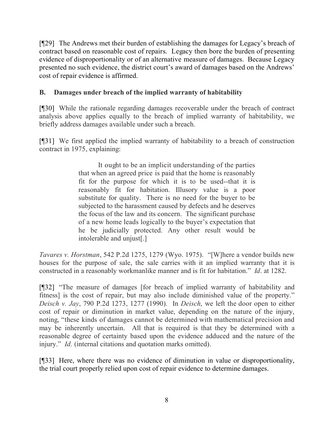[¶29] The Andrews met their burden of establishing the damages for Legacy's breach of contract based on reasonable cost of repairs. Legacy then bore the burden of presenting evidence of disproportionality or of an alternative measure of damages. Because Legacy presented no such evidence, the district court's award of damages based on the Andrews' cost of repair evidence is affirmed.

# **B. Damages under breach of the implied warranty of habitability**

[¶30] While the rationale regarding damages recoverable under the breach of contract analysis above applies equally to the breach of implied warranty of habitability, we briefly address damages available under such a breach.

[¶31] We first applied the implied warranty of habitability to a breach of construction contract in 1975, explaining:

> It ought to be an implicit understanding of the parties that when an agreed price is paid that the home is reasonably fit for the purpose for which it is to be used--that it is reasonably fit for habitation. Illusory value is a poor substitute for quality. There is no need for the buyer to be subjected to the harassment caused by defects and he deserves the focus of the law and its concern. The significant purchase of a new home leads logically to the buyer's expectation that he be judicially protected. Any other result would be intolerable and unjust[.]

*Tavares v. Horstman*, 542 P.2d 1275, 1279 (Wyo. 1975). "[W]here a vendor builds new houses for the purpose of sale, the sale carries with it an implied warranty that it is constructed in a reasonably workmanlike manner and is fit for habitation." *Id*. at 1282.

[¶32] "The measure of damages [for breach of implied warranty of habitability and fitness] is the cost of repair, but may also include diminished value of the property." *Deisch v. Jay*, 790 P.2d 1273, 1277 (1990). In *Deisch*, we left the door open to either cost of repair or diminution in market value, depending on the nature of the injury, noting, "these kinds of damages cannot be determined with mathematical precision and may be inherently uncertain. All that is required is that they be determined with a reasonable degree of certainty based upon the evidence adduced and the nature of the injury." *Id.* (internal citations and quotation marks omitted).

[¶33] Here, where there was no evidence of diminution in value or disproportionality, the trial court properly relied upon cost of repair evidence to determine damages.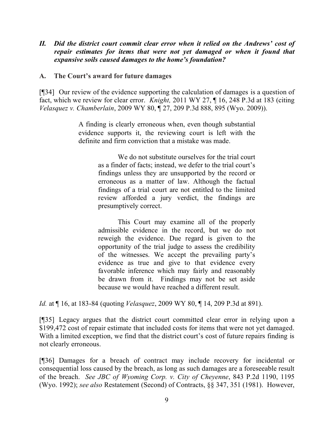### *II. Did the district court commit clear error when it relied on the Andrews' cost of repair estimates for items that were not yet damaged or when it found that expansive soils caused damages to the home's foundation?*

#### **A. The Court's award for future damages**

[¶34] Our review of the evidence supporting the calculation of damages is a question of fact, which we review for clear error. *Knight,* 2011 WY 27, ¶ 16, 248 P.3d at 183 (citing *Velasquez v. Chamberlain*, 2009 WY 80, ¶ 27, 209 P.3d 888, 895 (Wyo. 2009)).

> A finding is clearly erroneous when, even though substantial evidence supports it, the reviewing court is left with the definite and firm conviction that a mistake was made.

> > We do not substitute ourselves for the trial court as a finder of facts; instead, we defer to the trial court's findings unless they are unsupported by the record or erroneous as a matter of law. Although the factual findings of a trial court are not entitled to the limited review afforded a jury verdict, the findings are presumptively correct.

> > This Court may examine all of the properly admissible evidence in the record, but we do not reweigh the evidence. Due regard is given to the opportunity of the trial judge to assess the credibility of the witnesses. We accept the prevailing party's evidence as true and give to that evidence every favorable inference which may fairly and reasonably be drawn from it. Findings may not be set aside because we would have reached a different result.

*Id.* at ¶ 16, at 183-84 (quoting *Velasquez*, 2009 WY 80, ¶ 14, 209 P.3d at 891).

[¶35] Legacy argues that the district court committed clear error in relying upon a \$199,472 cost of repair estimate that included costs for items that were not yet damaged. With a limited exception, we find that the district court's cost of future repairs finding is not clearly erroneous.

[¶36] Damages for a breach of contract may include recovery for incidental or consequential loss caused by the breach, as long as such damages are a foreseeable result of the breach. *See JBC of Wyoming Corp. v. City of Cheyenne*, 843 P.2d 1190, 1195 (Wyo. 1992); *see also* Restatement (Second) of Contracts, §§ 347, 351 (1981). However,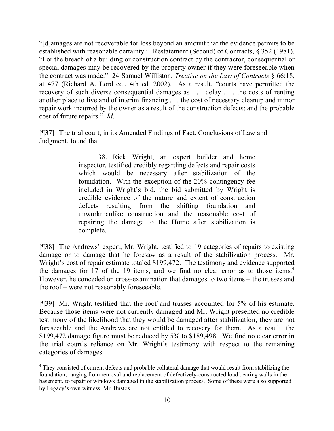"[d]amages are not recoverable for loss beyond an amount that the evidence permits to be established with reasonable certainty." Restatement (Second) of Contracts, § 352 (1981). "For the breach of a building or construction contract by the contractor, consequential or special damages may be recovered by the property owner if they were foreseeable when the contract was made." 24 Samuel Williston, *Treatise on the Law of Contracts* § 66:18, at 477 (Richard A. Lord ed., 4th ed. 2002). As a result, "courts have permitted the recovery of such diverse consequential damages as . . . delay . . . the costs of renting another place to live and of interim financing . . . the cost of necessary cleanup and minor repair work incurred by the owner as a result of the construction defects; and the probable cost of future repairs." *Id*.

[¶37] The trial court, in its Amended Findings of Fact, Conclusions of Law and Judgment, found that:

> 38. Rick Wright, an expert builder and home inspector, testified credibly regarding defects and repair costs which would be necessary after stabilization of the foundation. With the exception of the 20% contingency fee included in Wright's bid, the bid submitted by Wright is credible evidence of the nature and extent of construction defects resulting from the shifting foundation and unworkmanlike construction and the reasonable cost of repairing the damage to the Home after stabilization is complete.

[¶38] The Andrews' expert, Mr. Wright, testified to 19 categories of repairs to existing damage or to damage that he foresaw as a result of the stabilization process. Mr. Wright's cost of repair estimate totaled \$199,472. The testimony and evidence supported the damages for 17 of the 19 items, and we find no clear error as to those items.<sup>4</sup> However, he conceded on cross-examination that damages to two items – the trusses and the roof – were not reasonably foreseeable.

[¶39] Mr. Wright testified that the roof and trusses accounted for 5% of his estimate. Because those items were not currently damaged and Mr. Wright presented no credible testimony of the likelihood that they would be damaged after stabilization, they are not foreseeable and the Andrews are not entitled to recovery for them. As a result, the \$199,472 damage figure must be reduced by 5% to \$189,498. We find no clear error in the trial court's reliance on Mr. Wright's testimony with respect to the remaining categories of damages.

l

<sup>&</sup>lt;sup>4</sup> They consisted of current defects and probable collateral damage that would result from stabilizing the foundation, ranging from removal and replacement of defectively-constructed load bearing walls in the basement, to repair of windows damaged in the stabilization process. Some of these were also supported by Legacy's own witness, Mr. Bustos.